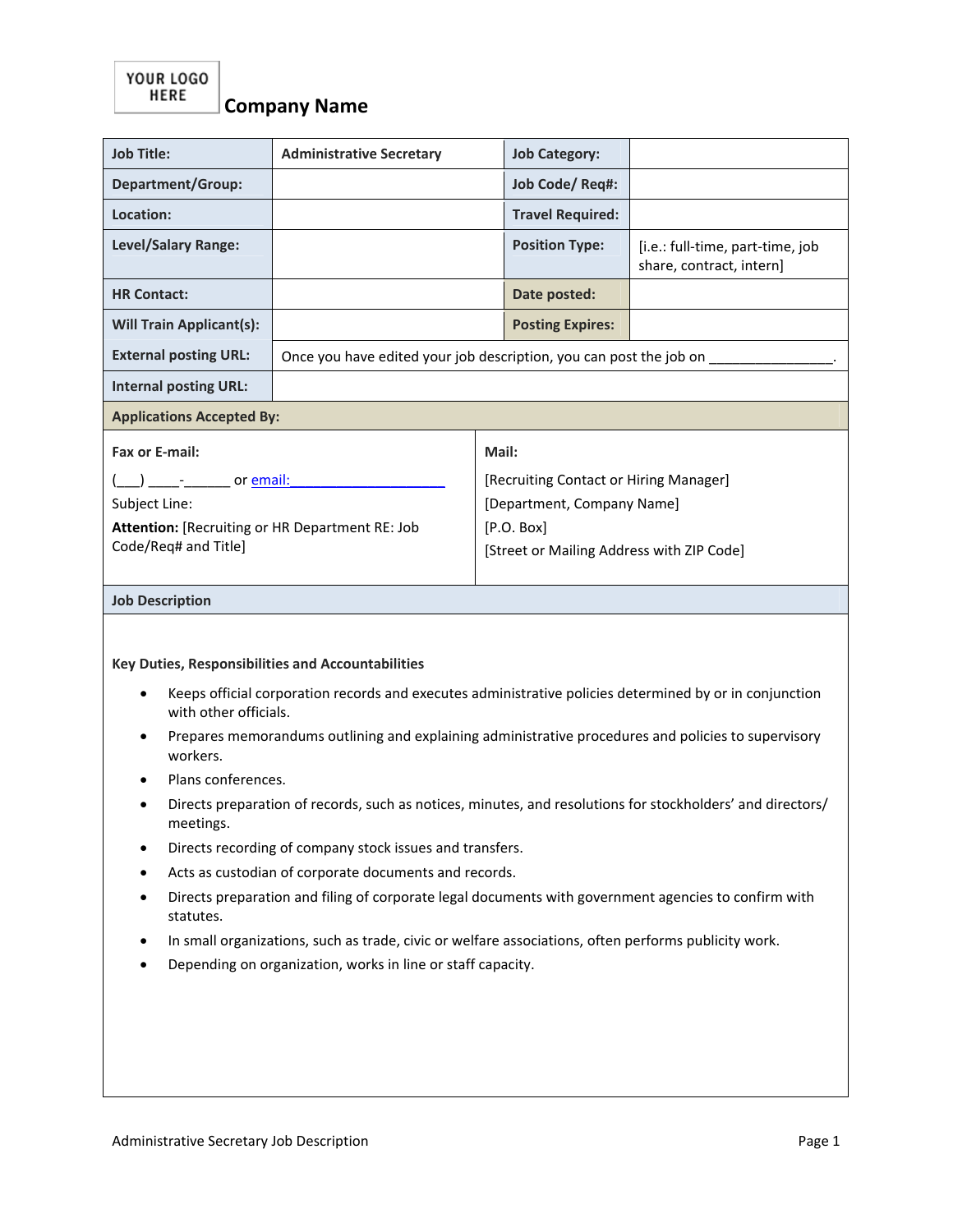| <b>Job Title:</b>                                                                                                                             | <b>Administrative Secretary</b>                                                                      | <b>Job Category:</b>                      |                                                              |  |  |
|-----------------------------------------------------------------------------------------------------------------------------------------------|------------------------------------------------------------------------------------------------------|-------------------------------------------|--------------------------------------------------------------|--|--|
| Department/Group:                                                                                                                             |                                                                                                      | <b>Job Code/ Req#:</b>                    |                                                              |  |  |
| Location:                                                                                                                                     |                                                                                                      | <b>Travel Required:</b>                   |                                                              |  |  |
| Level/Salary Range:                                                                                                                           |                                                                                                      | <b>Position Type:</b>                     | [i.e.: full-time, part-time, job<br>share, contract, intern] |  |  |
| <b>HR Contact:</b>                                                                                                                            |                                                                                                      | Date posted:                              |                                                              |  |  |
| <b>Will Train Applicant(s):</b>                                                                                                               |                                                                                                      | <b>Posting Expires:</b>                   |                                                              |  |  |
| <b>External posting URL:</b>                                                                                                                  | Once you have edited your job description, you can post the job on                                   |                                           |                                                              |  |  |
| <b>Internal posting URL:</b>                                                                                                                  |                                                                                                      |                                           |                                                              |  |  |
| <b>Applications Accepted By:</b>                                                                                                              |                                                                                                      |                                           |                                                              |  |  |
| Fax or E-mail:                                                                                                                                |                                                                                                      | Mail:                                     |                                                              |  |  |
|                                                                                                                                               |                                                                                                      | [Recruiting Contact or Hiring Manager]    |                                                              |  |  |
| ____________________ or <u>email:</u><br>Subject Line:                                                                                        |                                                                                                      | [Department, Company Name]                |                                                              |  |  |
| Attention: [Recruiting or HR Department RE: Job                                                                                               |                                                                                                      | [P.O. Box]                                |                                                              |  |  |
| Code/Req# and Title]                                                                                                                          |                                                                                                      | [Street or Mailing Address with ZIP Code] |                                                              |  |  |
|                                                                                                                                               |                                                                                                      |                                           |                                                              |  |  |
| <b>Job Description</b>                                                                                                                        |                                                                                                      |                                           |                                                              |  |  |
|                                                                                                                                               |                                                                                                      |                                           |                                                              |  |  |
|                                                                                                                                               |                                                                                                      |                                           |                                                              |  |  |
| Key Duties, Responsibilities and Accountabilities                                                                                             |                                                                                                      |                                           |                                                              |  |  |
| Keeps official corporation records and executes administrative policies determined by or in conjunction<br>$\bullet$<br>with other officials. |                                                                                                      |                                           |                                                              |  |  |
| Prepares memorandums outlining and explaining administrative procedures and policies to supervisory<br>workers.                               |                                                                                                      |                                           |                                                              |  |  |
| Plans conferences.                                                                                                                            |                                                                                                      |                                           |                                                              |  |  |
| Directs preparation of records, such as notices, minutes, and resolutions for stockholders' and directors/<br>meetings.                       |                                                                                                      |                                           |                                                              |  |  |
| $\bullet$                                                                                                                                     | Directs recording of company stock issues and transfers.                                             |                                           |                                                              |  |  |
| Acts as custodian of corporate documents and records.                                                                                         |                                                                                                      |                                           |                                                              |  |  |
| Directs preparation and filing of corporate legal documents with government agencies to confirm with<br>statutes.                             |                                                                                                      |                                           |                                                              |  |  |
| ٠                                                                                                                                             | In small organizations, such as trade, civic or welfare associations, often performs publicity work. |                                           |                                                              |  |  |
| Depending on organization, works in line or staff capacity.                                                                                   |                                                                                                      |                                           |                                                              |  |  |
|                                                                                                                                               |                                                                                                      |                                           |                                                              |  |  |
|                                                                                                                                               |                                                                                                      |                                           |                                                              |  |  |
|                                                                                                                                               |                                                                                                      |                                           |                                                              |  |  |